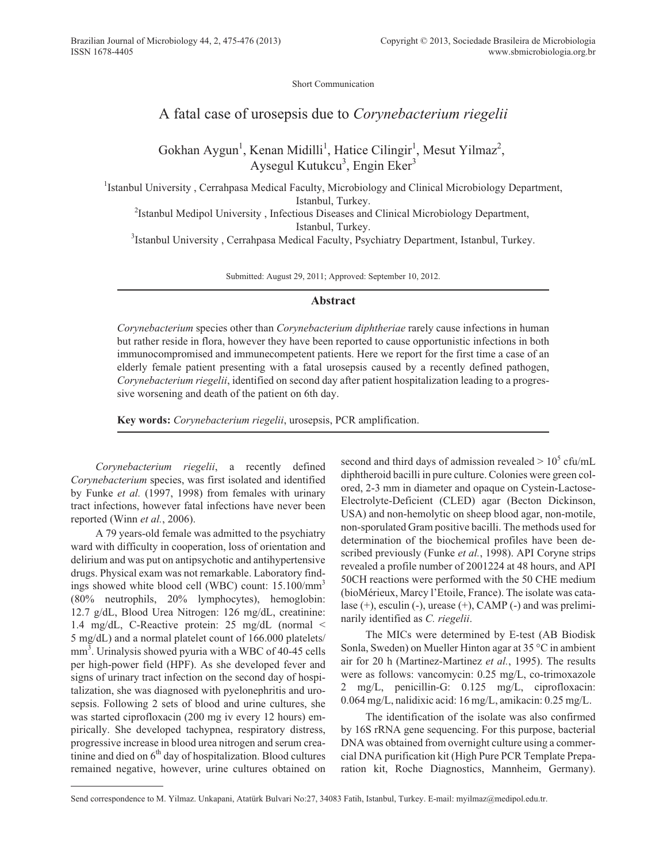Short Communication

## A fatal case of urosepsis due to *Corynebacterium riegelii*

Gokhan Aygun<sup>1</sup>, Kenan Midilli<sup>1</sup>, Hatice Cilingir<sup>1</sup>, Mesut Yilmaz<sup>2</sup>, Aysegul Kutukcu<sup>3</sup>, Engin Eker<sup>3</sup>

<sup>1</sup>Istanbul University, Cerrahpasa Medical Faculty, Microbiology and Clinical Microbiology Department, Istanbul, Turkey.

<sup>2</sup>Istanbul Medipol University, Infectious Diseases and Clinical Microbiology Department, Istanbul, Turkey.

<sup>3</sup>Istanbul University, Cerrahpasa Medical Faculty, Psychiatry Department, Istanbul, Turkey.

Submitted: August 29, 2011; Approved: September 10, 2012.

## **Abstract**

*Corynebacterium* species other than *Corynebacterium diphtheriae* rarely cause infections in human but rather reside in flora, however they have been reported to cause opportunistic infections in both immunocompromised and immunecompetent patients. Here we report for the first time a case of an elderly female patient presenting with a fatal urosepsis caused by a recently defined pathogen, *Corynebacterium riegelii*, identified on second day after patient hospitalization leading to a progressive worsening and death of the patient on 6th day.

**Key words:** *Corynebacterium riegelii*, urosepsis, PCR amplification.

*Corynebacterium riegelii*, a recently defined *Corynebacterium* species, was first isolated and identified by Funke *et al.* (1997, 1998) from females with urinary tract infections, however fatal infections have never been reported (Winn *et al.*, 2006).

A 79 years-old female was admitted to the psychiatry ward with difficulty in cooperation, loss of orientation and delirium and was put on antipsychotic and antihypertensive drugs. Physical exam was not remarkable. Laboratory findings showed white blood cell (WBC) count: 15.100/mm<sup>3</sup> (80% neutrophils, 20% lymphocytes), hemoglobin: 12.7 g/dL, Blood Urea Nitrogen: 126 mg/dL, creatinine: 1.4 mg/dL, C-Reactive protein: 25 mg/dL (normal < 5 mg/dL) and a normal platelet count of 166.000 platelets/ mm<sup>3</sup>. Urinalysis showed pyuria with a WBC of 40-45 cells per high-power field (HPF). As she developed fever and signs of urinary tract infection on the second day of hospitalization, she was diagnosed with pyelonephritis and urosepsis. Following 2 sets of blood and urine cultures, she was started ciprofloxacin (200 mg iv every 12 hours) empirically. She developed tachypnea, respiratory distress, progressive increase in blood urea nitrogen and serum creatinine and died on  $6<sup>th</sup>$  day of hospitalization. Blood cultures remained negative, however, urine cultures obtained on second and third days of admission revealed  $> 10^5$  cfu/mL diphtheroid bacilli in pure culture. Colonies were green colored, 2-3 mm in diameter and opaque on Cystein-Lactose-Electrolyte-Deficient (CLED) agar (Becton Dickinson, USA) and non-hemolytic on sheep blood agar, non-motile, non-sporulated Gram positive bacilli. The methods used for determination of the biochemical profiles have been described previously (Funke *et al.*, 1998). API Coryne strips revealed a profile number of 2001224 at 48 hours, and API 50CH reactions were performed with the 50 CHE medium (bioMérieux, Marcy l'Etoile, France). The isolate was catalase (+), esculin (-), urease (+), CAMP (-) and was preliminarily identified as *C. riegelii*.

The MICs were determined by E-test (AB Biodisk Sonla, Sweden) on Mueller Hinton agar at 35 °C in ambient air for 20 h (Martinez-Martinez *et al.*, 1995). The results were as follows: vancomycin: 0.25 mg/L, co-trimoxazole 2 mg/L, penicillin-G: 0.125 mg/L, ciprofloxacin: 0.064 mg/L, nalidixic acid: 16 mg/L, amikacin: 0.25 mg/L.

The identification of the isolate was also confirmed by 16S rRNA gene sequencing. For this purpose, bacterial DNA was obtained from overnight culture using a commercial DNA purification kit (High Pure PCR Template Preparation kit, Roche Diagnostics, Mannheim, Germany).

Send correspondence to M. Yilmaz. Unkapani, Atatürk Bulvari No:27, 34083 Fatih, Istanbul, Turkey. E-mail: myilmaz@medipol.edu.tr.